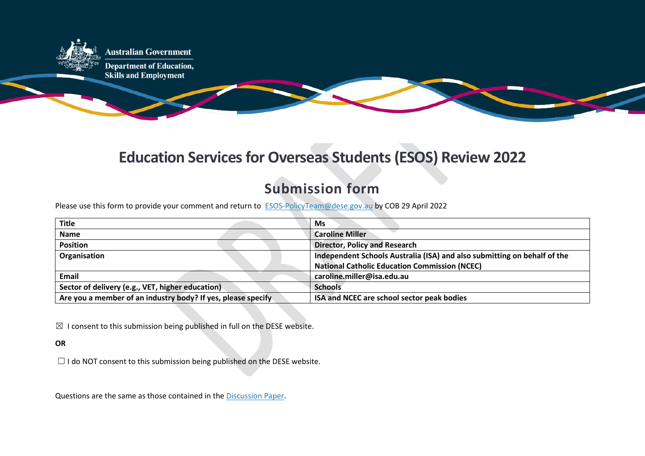

## **Education Services for Overseas Students (ESOS) Review 2022**

## **Submission form**

Please use this form to provide your comment and return to **[ESOS-PolicyTeam@dese.gov.au](mailto:ESOS-PolicyTeam@dese.gov.au) by COB 29 April 2022** 

| <b>Title</b>                                                 | Ms                                                                       |
|--------------------------------------------------------------|--------------------------------------------------------------------------|
| <b>Name</b>                                                  | <b>Caroline Miller</b>                                                   |
| <b>Position</b>                                              | <b>Director, Policy and Research</b>                                     |
| Organisation                                                 | Independent Schools Australia (ISA) and also submitting on behalf of the |
|                                                              | <b>National Catholic Education Commission (NCEC)</b>                     |
| <b>Email</b>                                                 | caroline.miller@isa.edu.au                                               |
| Sector of delivery (e.g., VET, higher education)             | <b>Schools</b>                                                           |
| Are you a member of an industry body? If yes, please specify | ISA and NCEC are school sector peak bodies                               |

 $\boxtimes$  I consent to this submission being published in full on the DESE website.

## **OR**

 $\Box$  I do NOT consent to this submission being published on the DESE website.

Questions are the same as those contained in the [Discussion Paper.](https://www.dese.gov.au/node/13358)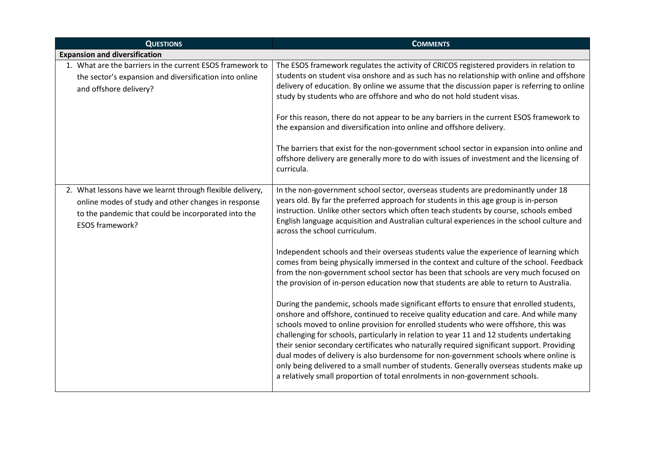| <b>QUESTIONS</b>                                                                                                                                                                                  | <b>COMMENTS</b>                                                                                                                                                                                                                                                                                                                                                                                                                                                                                                                                                                                                                                                                                                                                                                                                                                                                                                                                                                                                                                                                                                                                                                                                                                                                                                                                                                                                                                                                                                  |
|---------------------------------------------------------------------------------------------------------------------------------------------------------------------------------------------------|------------------------------------------------------------------------------------------------------------------------------------------------------------------------------------------------------------------------------------------------------------------------------------------------------------------------------------------------------------------------------------------------------------------------------------------------------------------------------------------------------------------------------------------------------------------------------------------------------------------------------------------------------------------------------------------------------------------------------------------------------------------------------------------------------------------------------------------------------------------------------------------------------------------------------------------------------------------------------------------------------------------------------------------------------------------------------------------------------------------------------------------------------------------------------------------------------------------------------------------------------------------------------------------------------------------------------------------------------------------------------------------------------------------------------------------------------------------------------------------------------------------|
| <b>Expansion and diversification</b>                                                                                                                                                              |                                                                                                                                                                                                                                                                                                                                                                                                                                                                                                                                                                                                                                                                                                                                                                                                                                                                                                                                                                                                                                                                                                                                                                                                                                                                                                                                                                                                                                                                                                                  |
| 1. What are the barriers in the current ESOS framework to<br>the sector's expansion and diversification into online<br>and offshore delivery?                                                     | The ESOS framework regulates the activity of CRICOS registered providers in relation to<br>students on student visa onshore and as such has no relationship with online and offshore<br>delivery of education. By online we assume that the discussion paper is referring to online<br>study by students who are offshore and who do not hold student visas.<br>For this reason, there do not appear to be any barriers in the current ESOS framework to<br>the expansion and diversification into online and offshore delivery.<br>The barriers that exist for the non-government school sector in expansion into online and<br>offshore delivery are generally more to do with issues of investment and the licensing of<br>curricula.                                                                                                                                                                                                                                                                                                                                                                                                                                                                                                                                                                                                                                                                                                                                                                         |
| 2. What lessons have we learnt through flexible delivery,<br>online modes of study and other changes in response<br>to the pandemic that could be incorporated into the<br><b>ESOS framework?</b> | In the non-government school sector, overseas students are predominantly under 18<br>years old. By far the preferred approach for students in this age group is in-person<br>instruction. Unlike other sectors which often teach students by course, schools embed<br>English language acquisition and Australian cultural experiences in the school culture and<br>across the school curriculum.<br>Independent schools and their overseas students value the experience of learning which<br>comes from being physically immersed in the context and culture of the school. Feedback<br>from the non-government school sector has been that schools are very much focused on<br>the provision of in-person education now that students are able to return to Australia.<br>During the pandemic, schools made significant efforts to ensure that enrolled students,<br>onshore and offshore, continued to receive quality education and care. And while many<br>schools moved to online provision for enrolled students who were offshore, this was<br>challenging for schools, particularly in relation to year 11 and 12 students undertaking<br>their senior secondary certificates who naturally required significant support. Providing<br>dual modes of delivery is also burdensome for non-government schools where online is<br>only being delivered to a small number of students. Generally overseas students make up<br>a relatively small proportion of total enrolments in non-government schools. |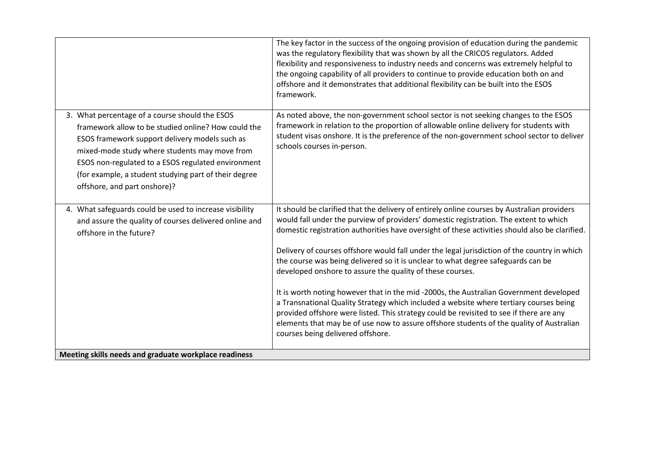|                                                                                                                                                                                                                                                                                                                                                         | The key factor in the success of the ongoing provision of education during the pandemic<br>was the regulatory flexibility that was shown by all the CRICOS regulators. Added<br>flexibility and responsiveness to industry needs and concerns was extremely helpful to<br>the ongoing capability of all providers to continue to provide education both on and<br>offshore and it demonstrates that additional flexibility can be built into the ESOS<br>framework.                                                                                                                                                                                                                                                                                                                                                                                                                                                                                     |
|---------------------------------------------------------------------------------------------------------------------------------------------------------------------------------------------------------------------------------------------------------------------------------------------------------------------------------------------------------|---------------------------------------------------------------------------------------------------------------------------------------------------------------------------------------------------------------------------------------------------------------------------------------------------------------------------------------------------------------------------------------------------------------------------------------------------------------------------------------------------------------------------------------------------------------------------------------------------------------------------------------------------------------------------------------------------------------------------------------------------------------------------------------------------------------------------------------------------------------------------------------------------------------------------------------------------------|
| 3. What percentage of a course should the ESOS<br>framework allow to be studied online? How could the<br>ESOS framework support delivery models such as<br>mixed-mode study where students may move from<br>ESOS non-regulated to a ESOS regulated environment<br>(for example, a student studying part of their degree<br>offshore, and part onshore)? | As noted above, the non-government school sector is not seeking changes to the ESOS<br>framework in relation to the proportion of allowable online delivery for students with<br>student visas onshore. It is the preference of the non-government school sector to deliver<br>schools courses in-person.                                                                                                                                                                                                                                                                                                                                                                                                                                                                                                                                                                                                                                               |
| 4. What safeguards could be used to increase visibility<br>and assure the quality of courses delivered online and<br>offshore in the future?<br>Meeting skills needs and graduate workplace readiness                                                                                                                                                   | It should be clarified that the delivery of entirely online courses by Australian providers<br>would fall under the purview of providers' domestic registration. The extent to which<br>domestic registration authorities have oversight of these activities should also be clarified.<br>Delivery of courses offshore would fall under the legal jurisdiction of the country in which<br>the course was being delivered so it is unclear to what degree safeguards can be<br>developed onshore to assure the quality of these courses.<br>It is worth noting however that in the mid -2000s, the Australian Government developed<br>a Transnational Quality Strategy which included a website where tertiary courses being<br>provided offshore were listed. This strategy could be revisited to see if there are any<br>elements that may be of use now to assure offshore students of the quality of Australian<br>courses being delivered offshore. |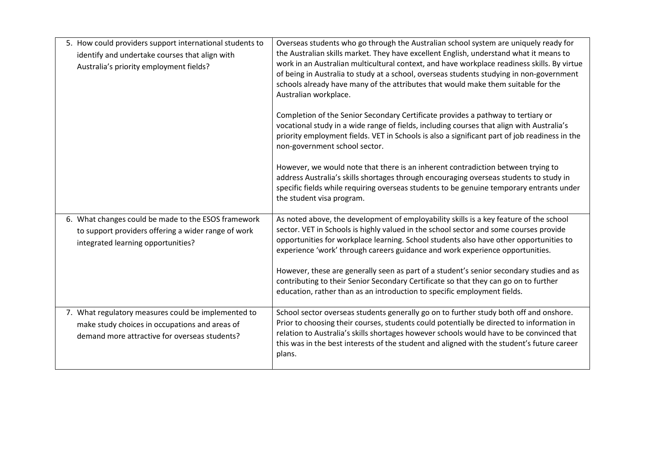| 5. How could providers support international students to<br>identify and undertake courses that align with<br>Australia's priority employment fields?  | Overseas students who go through the Australian school system are uniquely ready for<br>the Australian skills market. They have excellent English, understand what it means to<br>work in an Australian multicultural context, and have workplace readiness skills. By virtue<br>of being in Australia to study at a school, overseas students studying in non-government<br>schools already have many of the attributes that would make them suitable for the<br>Australian workplace. |
|--------------------------------------------------------------------------------------------------------------------------------------------------------|-----------------------------------------------------------------------------------------------------------------------------------------------------------------------------------------------------------------------------------------------------------------------------------------------------------------------------------------------------------------------------------------------------------------------------------------------------------------------------------------|
|                                                                                                                                                        | Completion of the Senior Secondary Certificate provides a pathway to tertiary or<br>vocational study in a wide range of fields, including courses that align with Australia's<br>priority employment fields. VET in Schools is also a significant part of job readiness in the<br>non-government school sector.                                                                                                                                                                         |
|                                                                                                                                                        | However, we would note that there is an inherent contradiction between trying to<br>address Australia's skills shortages through encouraging overseas students to study in<br>specific fields while requiring overseas students to be genuine temporary entrants under<br>the student visa program.                                                                                                                                                                                     |
| 6. What changes could be made to the ESOS framework<br>to support providers offering a wider range of work<br>integrated learning opportunities?       | As noted above, the development of employability skills is a key feature of the school<br>sector. VET in Schools is highly valued in the school sector and some courses provide<br>opportunities for workplace learning. School students also have other opportunities to<br>experience 'work' through careers guidance and work experience opportunities.                                                                                                                              |
|                                                                                                                                                        | However, these are generally seen as part of a student's senior secondary studies and as<br>contributing to their Senior Secondary Certificate so that they can go on to further<br>education, rather than as an introduction to specific employment fields.                                                                                                                                                                                                                            |
| 7. What regulatory measures could be implemented to<br>make study choices in occupations and areas of<br>demand more attractive for overseas students? | School sector overseas students generally go on to further study both off and onshore.<br>Prior to choosing their courses, students could potentially be directed to information in<br>relation to Australia's skills shortages however schools would have to be convinced that<br>this was in the best interests of the student and aligned with the student's future career<br>plans.                                                                                                 |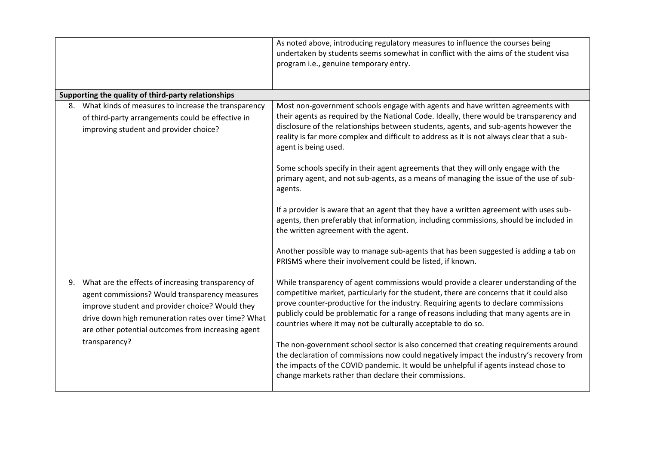|                                                                                                                                                                                                                                                                        | As noted above, introducing regulatory measures to influence the courses being<br>undertaken by students seems somewhat in conflict with the aims of the student visa<br>program i.e., genuine temporary entry.                                                                                                                                                                                                                  |
|------------------------------------------------------------------------------------------------------------------------------------------------------------------------------------------------------------------------------------------------------------------------|----------------------------------------------------------------------------------------------------------------------------------------------------------------------------------------------------------------------------------------------------------------------------------------------------------------------------------------------------------------------------------------------------------------------------------|
| Supporting the quality of third-party relationships                                                                                                                                                                                                                    |                                                                                                                                                                                                                                                                                                                                                                                                                                  |
| 8. What kinds of measures to increase the transparency<br>of third-party arrangements could be effective in<br>improving student and provider choice?                                                                                                                  | Most non-government schools engage with agents and have written agreements with<br>their agents as required by the National Code. Ideally, there would be transparency and<br>disclosure of the relationships between students, agents, and sub-agents however the<br>reality is far more complex and difficult to address as it is not always clear that a sub-<br>agent is being used.                                         |
|                                                                                                                                                                                                                                                                        | Some schools specify in their agent agreements that they will only engage with the<br>primary agent, and not sub-agents, as a means of managing the issue of the use of sub-<br>agents.                                                                                                                                                                                                                                          |
|                                                                                                                                                                                                                                                                        | If a provider is aware that an agent that they have a written agreement with uses sub-<br>agents, then preferably that information, including commissions, should be included in<br>the written agreement with the agent.                                                                                                                                                                                                        |
|                                                                                                                                                                                                                                                                        | Another possible way to manage sub-agents that has been suggested is adding a tab on<br>PRISMS where their involvement could be listed, if known.                                                                                                                                                                                                                                                                                |
| 9. What are the effects of increasing transparency of<br>agent commissions? Would transparency measures<br>improve student and provider choice? Would they<br>drive down high remuneration rates over time? What<br>are other potential outcomes from increasing agent | While transparency of agent commissions would provide a clearer understanding of the<br>competitive market, particularly for the student, there are concerns that it could also<br>prove counter-productive for the industry. Requiring agents to declare commissions<br>publicly could be problematic for a range of reasons including that many agents are in<br>countries where it may not be culturally acceptable to do so. |
| transparency?                                                                                                                                                                                                                                                          | The non-government school sector is also concerned that creating requirements around<br>the declaration of commissions now could negatively impact the industry's recovery from<br>the impacts of the COVID pandemic. It would be unhelpful if agents instead chose to<br>change markets rather than declare their commissions.                                                                                                  |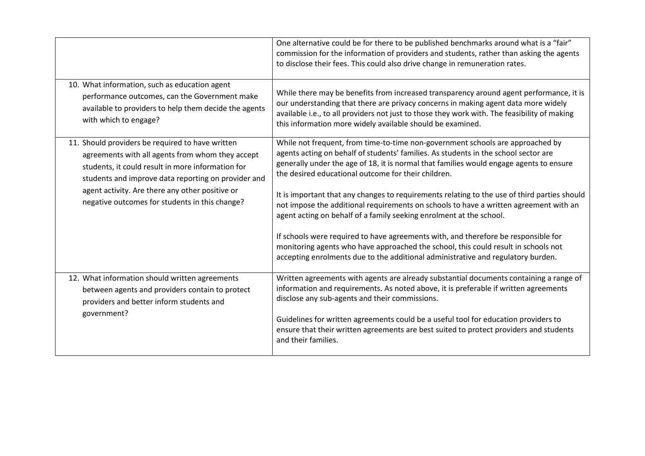|                                                                                                                                                                                                                  | One alternative could be for there to be published benchmarks around what is a "fair"<br>commission for the information of providers and students, rather than asking the agents<br>to disclose their fees. This could also drive change in remuneration rates.                                                                             |
|------------------------------------------------------------------------------------------------------------------------------------------------------------------------------------------------------------------|---------------------------------------------------------------------------------------------------------------------------------------------------------------------------------------------------------------------------------------------------------------------------------------------------------------------------------------------|
| 10. What information, such as education agent<br>performance outcomes, can the Government make<br>available to providers to help them decide the agents<br>with which to engage?                                 | While there may be benefits from increased transparency around agent performance, it is<br>our understanding that there are privacy concerns in making agent data more widely<br>available i.e., to all providers not just to those they work with. The feasibility of making<br>this information more widely available should be examined. |
| 11. Should providers be required to have written<br>agreements with all agents from whom they accept<br>students, it could result in more information for<br>students and improve data reporting on provider and | While not frequent, from time-to-time non-government schools are approached by<br>agents acting on behalf of students' families. As students in the school sector are<br>generally under the age of 18, it is normal that families would engage agents to ensure<br>the desired educational outcome for their children.                     |
| agent activity. Are there any other positive or<br>negative outcomes for students in this change?                                                                                                                | It is important that any changes to requirements relating to the use of third parties should<br>not impose the additional requirements on schools to have a written agreement with an<br>agent acting on behalf of a family seeking enrolment at the school.                                                                                |
|                                                                                                                                                                                                                  | If schools were required to have agreements with, and therefore be responsible for<br>monitoring agents who have approached the school, this could result in schools not<br>accepting enrolments due to the additional administrative and regulatory burden.                                                                                |
| 12. What information should written agreements<br>between agents and providers contain to protect<br>providers and better inform students and                                                                    | Written agreements with agents are already substantial documents containing a range of<br>information and requirements. As noted above, it is preferable if written agreements<br>disclose any sub-agents and their commissions.                                                                                                            |
| government?                                                                                                                                                                                                      | Guidelines for written agreements could be a useful tool for education providers to<br>ensure that their written agreements are best suited to protect providers and students<br>and their families.                                                                                                                                        |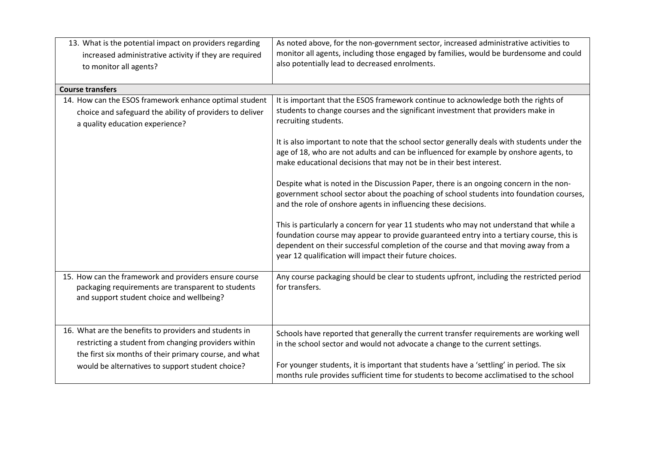| 13. What is the potential impact on providers regarding<br>increased administrative activity if they are required<br>to monitor all agents?                              | As noted above, for the non-government sector, increased administrative activities to<br>monitor all agents, including those engaged by families, would be burdensome and could<br>also potentially lead to decreased enrolments.                                                                                                    |
|--------------------------------------------------------------------------------------------------------------------------------------------------------------------------|--------------------------------------------------------------------------------------------------------------------------------------------------------------------------------------------------------------------------------------------------------------------------------------------------------------------------------------|
| <b>Course transfers</b>                                                                                                                                                  |                                                                                                                                                                                                                                                                                                                                      |
| 14. How can the ESOS framework enhance optimal student<br>choice and safeguard the ability of providers to deliver<br>a quality education experience?                    | It is important that the ESOS framework continue to acknowledge both the rights of<br>students to change courses and the significant investment that providers make in<br>recruiting students.                                                                                                                                       |
|                                                                                                                                                                          | It is also important to note that the school sector generally deals with students under the<br>age of 18, who are not adults and can be influenced for example by onshore agents, to<br>make educational decisions that may not be in their best interest.                                                                           |
|                                                                                                                                                                          | Despite what is noted in the Discussion Paper, there is an ongoing concern in the non-<br>government school sector about the poaching of school students into foundation courses,<br>and the role of onshore agents in influencing these decisions.                                                                                  |
|                                                                                                                                                                          | This is particularly a concern for year 11 students who may not understand that while a<br>foundation course may appear to provide guaranteed entry into a tertiary course, this is<br>dependent on their successful completion of the course and that moving away from a<br>year 12 qualification will impact their future choices. |
| 15. How can the framework and providers ensure course<br>packaging requirements are transparent to students<br>and support student choice and wellbeing?                 | Any course packaging should be clear to students upfront, including the restricted period<br>for transfers.                                                                                                                                                                                                                          |
| 16. What are the benefits to providers and students in<br>restricting a student from changing providers within<br>the first six months of their primary course, and what | Schools have reported that generally the current transfer requirements are working well<br>in the school sector and would not advocate a change to the current settings.                                                                                                                                                             |
| would be alternatives to support student choice?                                                                                                                         | For younger students, it is important that students have a 'settling' in period. The six<br>months rule provides sufficient time for students to become acclimatised to the school                                                                                                                                                   |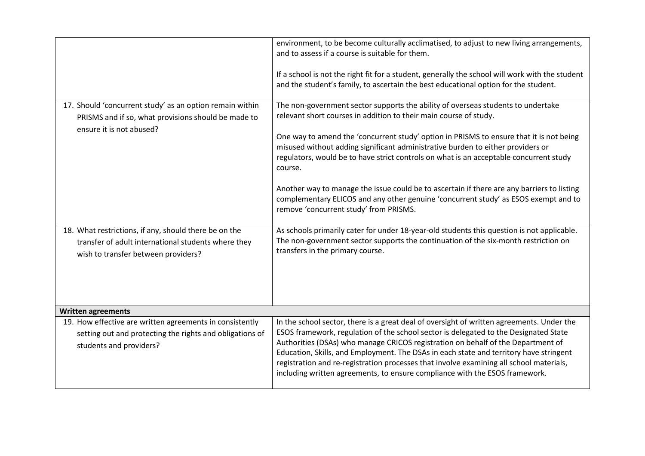|                                                                                                                                                     | environment, to be become culturally acclimatised, to adjust to new living arrangements,<br>and to assess if a course is suitable for them.<br>If a school is not the right fit for a student, generally the school will work with the student<br>and the student's family, to ascertain the best educational option for the student.                                                                                                                                                                                                     |
|-----------------------------------------------------------------------------------------------------------------------------------------------------|-------------------------------------------------------------------------------------------------------------------------------------------------------------------------------------------------------------------------------------------------------------------------------------------------------------------------------------------------------------------------------------------------------------------------------------------------------------------------------------------------------------------------------------------|
| 17. Should 'concurrent study' as an option remain within<br>PRISMS and if so, what provisions should be made to<br>ensure it is not abused?         | The non-government sector supports the ability of overseas students to undertake<br>relevant short courses in addition to their main course of study.<br>One way to amend the 'concurrent study' option in PRISMS to ensure that it is not being<br>misused without adding significant administrative burden to either providers or<br>regulators, would be to have strict controls on what is an acceptable concurrent study<br>course.                                                                                                  |
|                                                                                                                                                     | Another way to manage the issue could be to ascertain if there are any barriers to listing<br>complementary ELICOS and any other genuine 'concurrent study' as ESOS exempt and to<br>remove 'concurrent study' from PRISMS.                                                                                                                                                                                                                                                                                                               |
| 18. What restrictions, if any, should there be on the<br>transfer of adult international students where they<br>wish to transfer between providers? | As schools primarily cater for under 18-year-old students this question is not applicable.<br>The non-government sector supports the continuation of the six-month restriction on<br>transfers in the primary course.                                                                                                                                                                                                                                                                                                                     |
| <b>Written agreements</b>                                                                                                                           |                                                                                                                                                                                                                                                                                                                                                                                                                                                                                                                                           |
| 19. How effective are written agreements in consistently<br>setting out and protecting the rights and obligations of<br>students and providers?     | In the school sector, there is a great deal of oversight of written agreements. Under the<br>ESOS framework, regulation of the school sector is delegated to the Designated State<br>Authorities (DSAs) who manage CRICOS registration on behalf of the Department of<br>Education, Skills, and Employment. The DSAs in each state and territory have stringent<br>registration and re-registration processes that involve examining all school materials,<br>including written agreements, to ensure compliance with the ESOS framework. |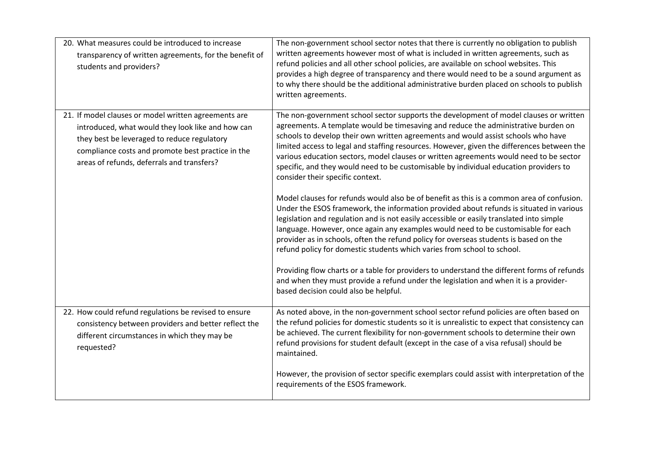| 20. What measures could be introduced to increase<br>transparency of written agreements, for the benefit of<br>students and providers?                                                                                                                      | The non-government school sector notes that there is currently no obligation to publish<br>written agreements however most of what is included in written agreements, such as<br>refund policies and all other school policies, are available on school websites. This<br>provides a high degree of transparency and there would need to be a sound argument as<br>to why there should be the additional administrative burden placed on schools to publish<br>written agreements.                                                                                                                                                                                                                                                                                                                                                                                                                                                                                                                                                                                                                                                 |
|-------------------------------------------------------------------------------------------------------------------------------------------------------------------------------------------------------------------------------------------------------------|------------------------------------------------------------------------------------------------------------------------------------------------------------------------------------------------------------------------------------------------------------------------------------------------------------------------------------------------------------------------------------------------------------------------------------------------------------------------------------------------------------------------------------------------------------------------------------------------------------------------------------------------------------------------------------------------------------------------------------------------------------------------------------------------------------------------------------------------------------------------------------------------------------------------------------------------------------------------------------------------------------------------------------------------------------------------------------------------------------------------------------|
| 21. If model clauses or model written agreements are<br>introduced, what would they look like and how can<br>they best be leveraged to reduce regulatory<br>compliance costs and promote best practice in the<br>areas of refunds, deferrals and transfers? | The non-government school sector supports the development of model clauses or written<br>agreements. A template would be timesaving and reduce the administrative burden on<br>schools to develop their own written agreements and would assist schools who have<br>limited access to legal and staffing resources. However, given the differences between the<br>various education sectors, model clauses or written agreements would need to be sector<br>specific, and they would need to be customisable by individual education providers to<br>consider their specific context.<br>Model clauses for refunds would also be of benefit as this is a common area of confusion.<br>Under the ESOS framework, the information provided about refunds is situated in various<br>legislation and regulation and is not easily accessible or easily translated into simple<br>language. However, once again any examples would need to be customisable for each<br>provider as in schools, often the refund policy for overseas students is based on the<br>refund policy for domestic students which varies from school to school. |
|                                                                                                                                                                                                                                                             | Providing flow charts or a table for providers to understand the different forms of refunds<br>and when they must provide a refund under the legislation and when it is a provider-<br>based decision could also be helpful.                                                                                                                                                                                                                                                                                                                                                                                                                                                                                                                                                                                                                                                                                                                                                                                                                                                                                                       |
| 22. How could refund regulations be revised to ensure<br>consistency between providers and better reflect the<br>different circumstances in which they may be<br>requested?                                                                                 | As noted above, in the non-government school sector refund policies are often based on<br>the refund policies for domestic students so it is unrealistic to expect that consistency can<br>be achieved. The current flexibility for non-government schools to determine their own<br>refund provisions for student default (except in the case of a visa refusal) should be<br>maintained.                                                                                                                                                                                                                                                                                                                                                                                                                                                                                                                                                                                                                                                                                                                                         |
|                                                                                                                                                                                                                                                             | However, the provision of sector specific exemplars could assist with interpretation of the<br>requirements of the ESOS framework.                                                                                                                                                                                                                                                                                                                                                                                                                                                                                                                                                                                                                                                                                                                                                                                                                                                                                                                                                                                                 |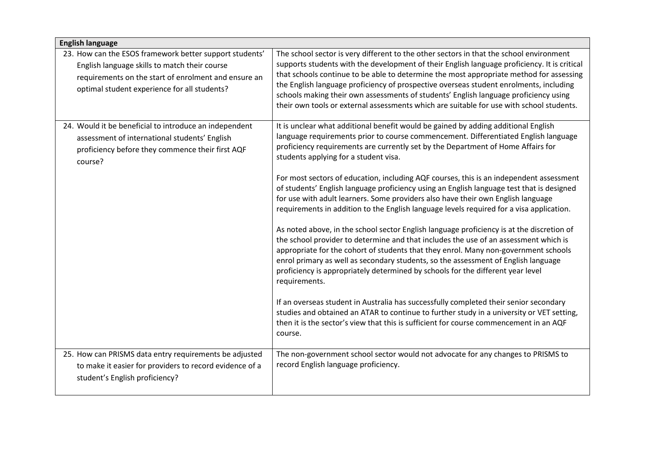| <b>English language</b>                                                                                                                                                                                          |                                                                                                                                                                                                                                                                                                                                                                                                                                                                                                                                                                  |
|------------------------------------------------------------------------------------------------------------------------------------------------------------------------------------------------------------------|------------------------------------------------------------------------------------------------------------------------------------------------------------------------------------------------------------------------------------------------------------------------------------------------------------------------------------------------------------------------------------------------------------------------------------------------------------------------------------------------------------------------------------------------------------------|
| 23. How can the ESOS framework better support students'<br>English language skills to match their course<br>requirements on the start of enrolment and ensure an<br>optimal student experience for all students? | The school sector is very different to the other sectors in that the school environment<br>supports students with the development of their English language proficiency. It is critical<br>that schools continue to be able to determine the most appropriate method for assessing<br>the English language proficiency of prospective overseas student enrolments, including<br>schools making their own assessments of students' English language proficiency using<br>their own tools or external assessments which are suitable for use with school students. |
| 24. Would it be beneficial to introduce an independent<br>assessment of international students' English<br>proficiency before they commence their first AQF<br>course?                                           | It is unclear what additional benefit would be gained by adding additional English<br>language requirements prior to course commencement. Differentiated English language<br>proficiency requirements are currently set by the Department of Home Affairs for<br>students applying for a student visa.                                                                                                                                                                                                                                                           |
|                                                                                                                                                                                                                  | For most sectors of education, including AQF courses, this is an independent assessment<br>of students' English language proficiency using an English language test that is designed<br>for use with adult learners. Some providers also have their own English language<br>requirements in addition to the English language levels required for a visa application.                                                                                                                                                                                             |
|                                                                                                                                                                                                                  | As noted above, in the school sector English language proficiency is at the discretion of<br>the school provider to determine and that includes the use of an assessment which is<br>appropriate for the cohort of students that they enrol. Many non-government schools<br>enrol primary as well as secondary students, so the assessment of English language<br>proficiency is appropriately determined by schools for the different year level<br>requirements.                                                                                               |
|                                                                                                                                                                                                                  | If an overseas student in Australia has successfully completed their senior secondary<br>studies and obtained an ATAR to continue to further study in a university or VET setting,<br>then it is the sector's view that this is sufficient for course commencement in an AQF<br>course.                                                                                                                                                                                                                                                                          |
| 25. How can PRISMS data entry requirements be adjusted<br>to make it easier for providers to record evidence of a<br>student's English proficiency?                                                              | The non-government school sector would not advocate for any changes to PRISMS to<br>record English language proficiency.                                                                                                                                                                                                                                                                                                                                                                                                                                         |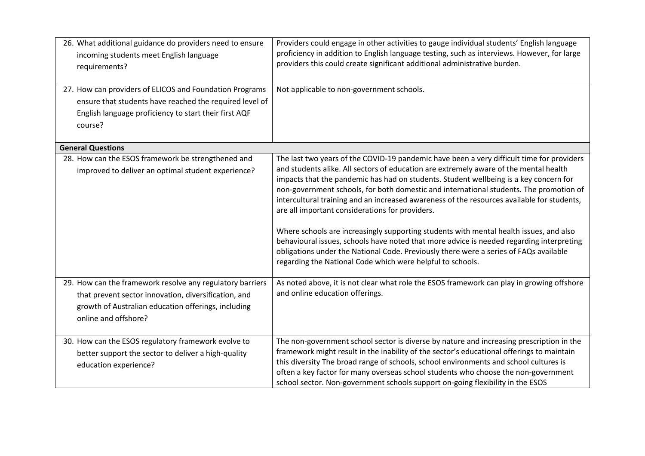| 26. What additional guidance do providers need to ensure<br>incoming students meet English language<br>requirements?                                                                             | Providers could engage in other activities to gauge individual students' English language<br>proficiency in addition to English language testing, such as interviews. However, for large<br>providers this could create significant additional administrative burden.                                                                                                                                                                                                                                                                                                                                                                                                                                                                                                                                                                                               |
|--------------------------------------------------------------------------------------------------------------------------------------------------------------------------------------------------|---------------------------------------------------------------------------------------------------------------------------------------------------------------------------------------------------------------------------------------------------------------------------------------------------------------------------------------------------------------------------------------------------------------------------------------------------------------------------------------------------------------------------------------------------------------------------------------------------------------------------------------------------------------------------------------------------------------------------------------------------------------------------------------------------------------------------------------------------------------------|
| 27. How can providers of ELICOS and Foundation Programs<br>ensure that students have reached the required level of<br>English language proficiency to start their first AQF<br>course?           | Not applicable to non-government schools.                                                                                                                                                                                                                                                                                                                                                                                                                                                                                                                                                                                                                                                                                                                                                                                                                           |
| <b>General Questions</b>                                                                                                                                                                         |                                                                                                                                                                                                                                                                                                                                                                                                                                                                                                                                                                                                                                                                                                                                                                                                                                                                     |
| 28. How can the ESOS framework be strengthened and<br>improved to deliver an optimal student experience?                                                                                         | The last two years of the COVID-19 pandemic have been a very difficult time for providers<br>and students alike. All sectors of education are extremely aware of the mental health<br>impacts that the pandemic has had on students. Student wellbeing is a key concern for<br>non-government schools, for both domestic and international students. The promotion of<br>intercultural training and an increased awareness of the resources available for students,<br>are all important considerations for providers.<br>Where schools are increasingly supporting students with mental health issues, and also<br>behavioural issues, schools have noted that more advice is needed regarding interpreting<br>obligations under the National Code. Previously there were a series of FAQs available<br>regarding the National Code which were helpful to schools. |
| 29. How can the framework resolve any regulatory barriers<br>that prevent sector innovation, diversification, and<br>growth of Australian education offerings, including<br>online and offshore? | As noted above, it is not clear what role the ESOS framework can play in growing offshore<br>and online education offerings.                                                                                                                                                                                                                                                                                                                                                                                                                                                                                                                                                                                                                                                                                                                                        |
| 30. How can the ESOS regulatory framework evolve to<br>better support the sector to deliver a high-quality<br>education experience?                                                              | The non-government school sector is diverse by nature and increasing prescription in the<br>framework might result in the inability of the sector's educational offerings to maintain<br>this diversity The broad range of schools, school environments and school cultures is<br>often a key factor for many overseas school students who choose the non-government<br>school sector. Non-government schools support on-going flexibility in the ESOS                                                                                                                                                                                                                                                                                                                                                                                                              |